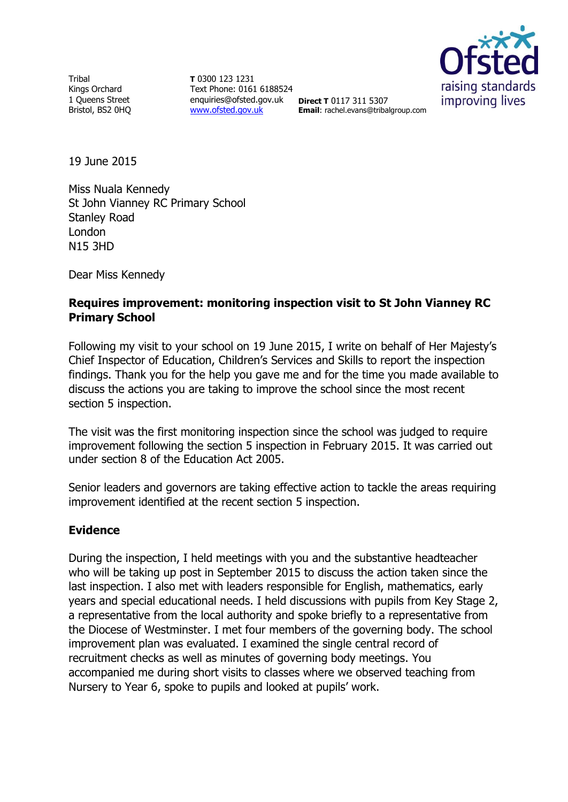**Tribal** Kings Orchard 1 Queens Street Bristol, BS2 0HQ

**T** 0300 123 1231 Text Phone: 0161 6188524 enquiries@ofsted.gov.uk **Direct T** 0117 311 5307 [www.ofsted.gov.uk](http://www.ofsted.gov.uk/)



**Email**: rachel.evans@tribalgroup.com

19 June 2015

Miss Nuala Kennedy St John Vianney RC Primary School Stanley Road London N15 3HD

Dear Miss Kennedy

### **Requires improvement: monitoring inspection visit to St John Vianney RC Primary School**

Following my visit to your school on 19 June 2015, I write on behalf of Her Majesty's Chief Inspector of Education, Children's Services and Skills to report the inspection findings. Thank you for the help you gave me and for the time you made available to discuss the actions you are taking to improve the school since the most recent section 5 inspection.

The visit was the first monitoring inspection since the school was judged to require improvement following the section 5 inspection in February 2015. It was carried out under section 8 of the Education Act 2005.

Senior leaders and governors are taking effective action to tackle the areas requiring improvement identified at the recent section 5 inspection.

### **Evidence**

During the inspection, I held meetings with you and the substantive headteacher who will be taking up post in September 2015 to discuss the action taken since the last inspection. I also met with leaders responsible for English, mathematics, early years and special educational needs. I held discussions with pupils from Key Stage 2, a representative from the local authority and spoke briefly to a representative from the Diocese of Westminster. I met four members of the governing body. The school improvement plan was evaluated. I examined the single central record of recruitment checks as well as minutes of governing body meetings. You accompanied me during short visits to classes where we observed teaching from Nursery to Year 6, spoke to pupils and looked at pupils' work.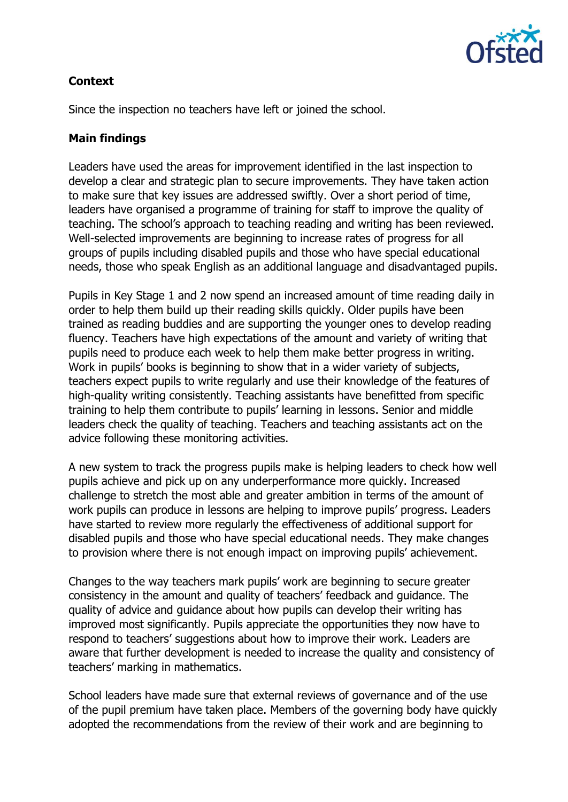

# **Context**

Since the inspection no teachers have left or joined the school.

## **Main findings**

Leaders have used the areas for improvement identified in the last inspection to develop a clear and strategic plan to secure improvements. They have taken action to make sure that key issues are addressed swiftly. Over a short period of time, leaders have organised a programme of training for staff to improve the quality of teaching. The school's approach to teaching reading and writing has been reviewed. Well-selected improvements are beginning to increase rates of progress for all groups of pupils including disabled pupils and those who have special educational needs, those who speak English as an additional language and disadvantaged pupils.

Pupils in Key Stage 1 and 2 now spend an increased amount of time reading daily in order to help them build up their reading skills quickly. Older pupils have been trained as reading buddies and are supporting the younger ones to develop reading fluency. Teachers have high expectations of the amount and variety of writing that pupils need to produce each week to help them make better progress in writing. Work in pupils' books is beginning to show that in a wider variety of subjects, teachers expect pupils to write regularly and use their knowledge of the features of high-quality writing consistently. Teaching assistants have benefitted from specific training to help them contribute to pupils' learning in lessons. Senior and middle leaders check the quality of teaching. Teachers and teaching assistants act on the advice following these monitoring activities.

A new system to track the progress pupils make is helping leaders to check how well pupils achieve and pick up on any underperformance more quickly. Increased challenge to stretch the most able and greater ambition in terms of the amount of work pupils can produce in lessons are helping to improve pupils' progress. Leaders have started to review more regularly the effectiveness of additional support for disabled pupils and those who have special educational needs. They make changes to provision where there is not enough impact on improving pupils' achievement.

Changes to the way teachers mark pupils' work are beginning to secure greater consistency in the amount and quality of teachers' feedback and guidance. The quality of advice and guidance about how pupils can develop their writing has improved most significantly. Pupils appreciate the opportunities they now have to respond to teachers' suggestions about how to improve their work. Leaders are aware that further development is needed to increase the quality and consistency of teachers' marking in mathematics.

School leaders have made sure that external reviews of governance and of the use of the pupil premium have taken place. Members of the governing body have quickly adopted the recommendations from the review of their work and are beginning to